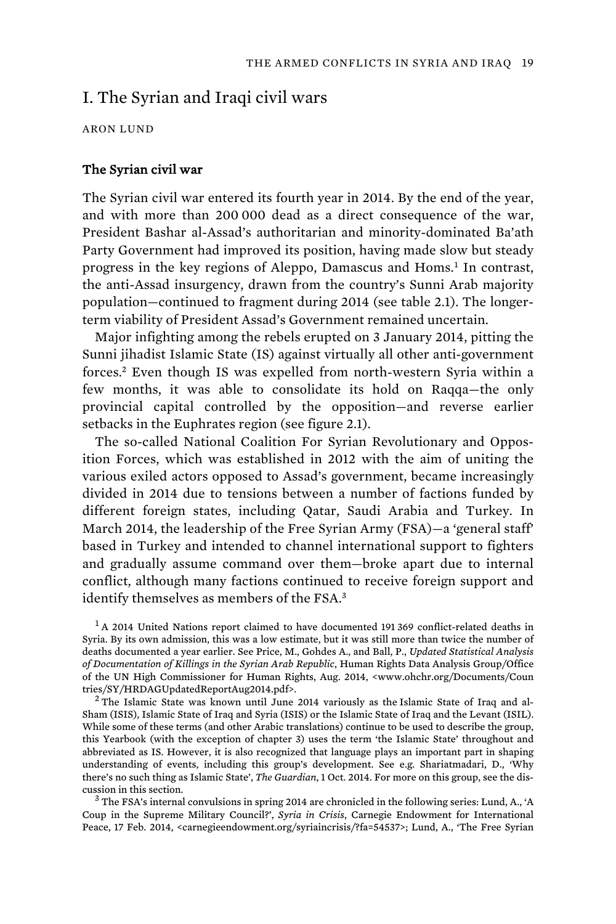# I. The Syrian and Iraqi civil wars

ARON LUND

### The Syrian civil war

The Syrian civil war entered its fourth year in 2014. By the end of the year, and with more than 200 000 dead as a direct consequence of the war, President Bashar al-Assad's authoritarian and minority-dominated Ba'ath Party Government had improved its position, having made slow but steady progress in the key regions of Aleppo, Damascus and Homs.<sup>1</sup> In contrast, the anti-Assad insurgency, drawn from the country's Sunni Arab majority population—continued to fragment during 2014 (see table 2.1). The longerterm viability of President Assad's Government remained uncertain.

Major infighting among the rebels erupted on 3 January 2014, pitting the Sunni jihadist Islamic State (IS) against virtually all other anti-government forces.<sup>2</sup> Even though IS was expelled from north-western Syria within a few months, it was able to consolidate its hold on Raqqa—the only provincial capital controlled by the opposition—and reverse earlier setbacks in the Euphrates region (see figure 2.1).

The so-called National Coalition For Syrian Revolutionary and Opposition Forces, which was established in 2012 with the aim of uniting the various exiled actors opposed to Assad's government, became increasingly divided in 2014 due to tensions between a number of factions funded by different foreign states, including Qatar, Saudi Arabia and Turkey. In March 2014, the leadership of the Free Syrian Army (FSA)—a 'general staff' based in Turkey and intended to channel international support to fighters and gradually assume command over them—broke apart due to internal conflict, although many factions continued to receive foreign support and identify themselves as members of the FSA.<sup>3</sup>

 $<sup>1</sup>$  A 2014 United Nations report claimed to have documented 191 369 conflict-related deaths in</sup> Syria. By its own admission, this was a low estimate, but it was still more than twice the number of deaths documented a year earlier. See Price, M., Gohdes A., and Ball, P., *Updated Statistical Analysis of Documentation of Killings in the Syrian Arab Republic*, Human Rights Data Analysis Group/Office of the UN High Commissioner for Human Rights, Aug. 2014, <www.ohchr.org/Documents/Coun tries/SY/HRDAGUpdatedReportAug2014.pdf>.

 $2$  The Islamic State was known until June 2014 variously as the Islamic State of Iraq and al-Sham (ISIS), Islamic State of Iraq and Syria (ISIS) or the Islamic State of Iraq and the Levant (ISIL). While some of these terms (and other Arabic translations) continue to be used to describe the group, this Yearbook (with the exception of chapter 3) uses the term 'the Islamic State' throughout and abbreviated as IS. However, it is also recognized that language plays an important part in shaping understanding of events, including this group's development. See e.g. Shariatmadari, D., 'Why there's no such thing as Islamic State', *The Guardian*, 1 Oct. 2014. For more on this group, see the discussion in this section.<br><sup>3</sup> The FSA's internal convulsions in spring 2014 are chronicled in the following series: Lund, A., 'A

Coup in the Supreme Military Council?', *Syria in Crisis*, Carnegie Endowment for International Peace, 17 Feb. 2014, <carnegieendowment.org/syriaincrisis/?fa=54537>; Lund, A., 'The Free Syrian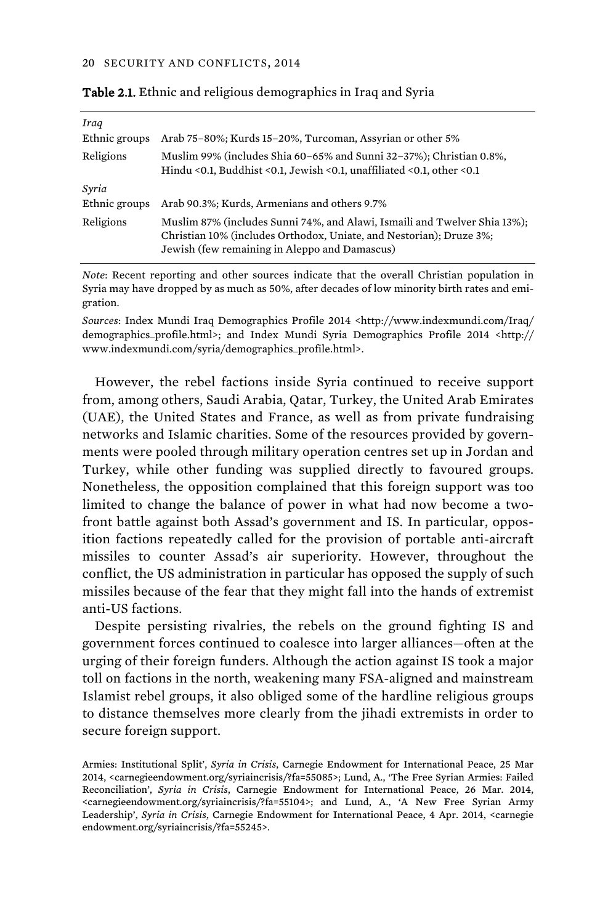| Iraq<br>Ethnic groups  | Arab 75-80%; Kurds 15-20%, Turcoman, Assyrian or other 5%                                                                                                                                         |
|------------------------|---------------------------------------------------------------------------------------------------------------------------------------------------------------------------------------------------|
| Religions              | Muslim 99% (includes Shia 60–65% and Sunni 32–37%); Christian 0.8%,<br>Hindu < 0.1, Buddhist < 0.1, Jewish < 0.1, unaffiliated < 0.1, other < 0.1                                                 |
| Syria<br>Ethnic groups | Arab 90.3%; Kurds, Armenians and others 9.7%                                                                                                                                                      |
| Religions              | Muslim 87% (includes Sunni 74%, and Alawi, Ismaili and Twelver Shia 13%);<br>Christian 10% (includes Orthodox, Uniate, and Nestorian); Druze 3%;<br>Jewish (few remaining in Aleppo and Damascus) |

| Table 2.1. Ethnic and religious demographics in Iraq and Syria |  |  |  |  |
|----------------------------------------------------------------|--|--|--|--|
|----------------------------------------------------------------|--|--|--|--|

*Note*: Recent reporting and other sources indicate that the overall Christian population in Syria may have dropped by as much as 50%, after decades of low minority birth rates and emigration.

*Sources*: Index Mundi Iraq Demographics Profile 2014 <http://www.indexmundi.com/Iraq/ demographics\_profile.html>; and Index Mundi Syria Demographics Profile 2014 <http:// www.indexmundi.com/syria/demographics\_profile.html>.

However, the rebel factions inside Syria continued to receive support from, among others, Saudi Arabia, Qatar, Turkey, the United Arab Emirates (UAE), the United States and France, as well as from private fundraising networks and Islamic charities. Some of the resources provided by governments were pooled through military operation centres set up in Jordan and Turkey, while other funding was supplied directly to favoured groups. Nonetheless, the opposition complained that this foreign support was too limited to change the balance of power in what had now become a twofront battle against both Assad's government and IS. In particular, opposition factions repeatedly called for the provision of portable anti-aircraft missiles to counter Assad's air superiority. However, throughout the conflict, the US administration in particular has opposed the supply of such missiles because of the fear that they might fall into the hands of extremist anti-US factions.

Despite persisting rivalries, the rebels on the ground fighting IS and government forces continued to coalesce into larger alliances—often at the urging of their foreign funders. Although the action against IS took a major toll on factions in the north, weakening many FSA-aligned and mainstream Islamist rebel groups, it also obliged some of the hardline religious groups to distance themselves more clearly from the jihadi extremists in order to secure foreign support.

Armies: Institutional Split', *Syria in Crisis*, Carnegie Endowment for International Peace, 25 Mar 2014, <carnegieendowment.org/syriaincrisis/?fa=55085>; Lund, A., 'The Free Syrian Armies: Failed Reconciliation', *Syria in Crisis*, Carnegie Endowment for International Peace, 26 Mar. 2014, <carnegieendowment.org/syriaincrisis/?fa=55104>; and Lund, A., 'A New Free Syrian Army Leadership', *Syria in Crisis*, Carnegie Endowment for International Peace, 4 Apr. 2014, <carnegie endowment.org/syriaincrisis/?fa=55245>.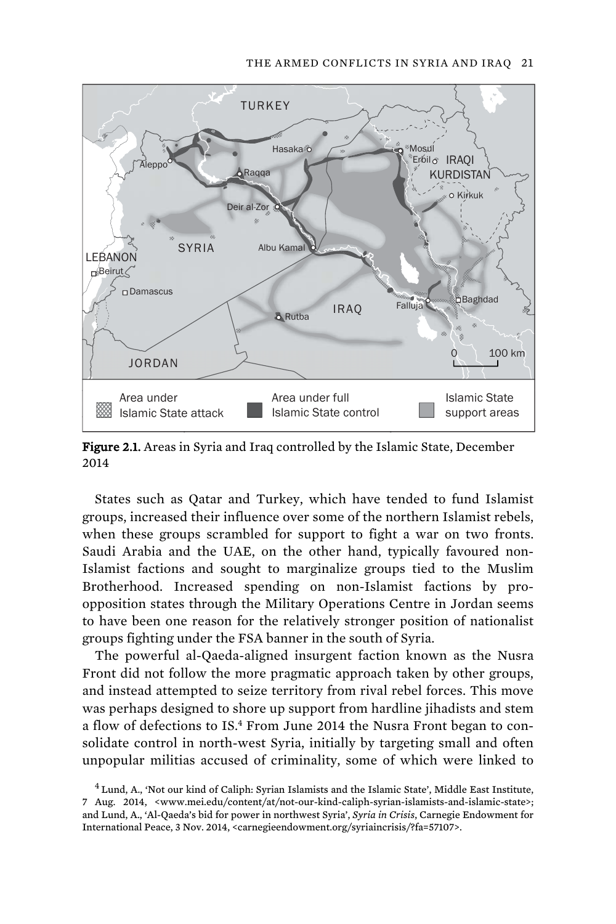#### THE ARMED CONFLICTS IN SYRIA AND IRAQ 21



Figure 2.1. Areas in Syria and Iraq controlled by the Islamic State, December 2014

States such as Qatar and Turkey, which have tended to fund Islamist groups, increased their influence over some of the northern Islamist rebels, when these groups scrambled for support to fight a war on two fronts. Saudi Arabia and the UAE, on the other hand, typically favoured non-Islamist factions and sought to marginalize groups tied to the Muslim Brotherhood. Increased spending on non-Islamist factions by proopposition states through the Military Operations Centre in Jordan seems to have been one reason for the relatively stronger position of nationalist groups fighting under the FSA banner in the south of Syria.

The powerful al-Qaeda-aligned insurgent faction known as the Nusra Front did not follow the more pragmatic approach taken by other groups, and instead attempted to seize territory from rival rebel forces. This move was perhaps designed to shore up support from hardline jihadists and stem a flow of defections to IS.<sup>4</sup> From June 2014 the Nusra Front began to consolidate control in north-west Syria, initially by targeting small and often unpopular militias accused of criminality, some of which were linked to

<sup>&</sup>lt;sup>4</sup> Lund, A., 'Not our kind of Caliph: Syrian Islamists and the Islamic State', Middle East Institute, 7 Aug. 2014, <www.mei.edu/content/at/not-our-kind-caliph-syrian-islamists-and-islamic-state>; and Lund, A., 'Al-Qaeda's bid for power in northwest Syria', *Syria in Crisis*, Carnegie Endowment for International Peace, 3 Nov. 2014, <carnegieendowment.org/syriaincrisis/?fa=57107>.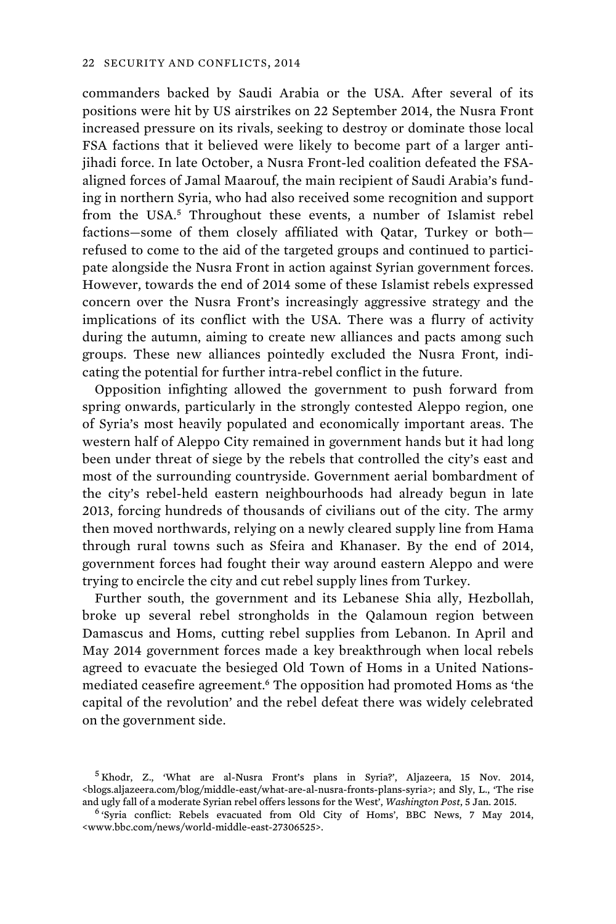commanders backed by Saudi Arabia or the USA. After several of its positions were hit by US airstrikes on 22 September 2014, the Nusra Front increased pressure on its rivals, seeking to destroy or dominate those local FSA factions that it believed were likely to become part of a larger antijihadi force. In late October, a Nusra Front-led coalition defeated the FSAaligned forces of Jamal Maarouf, the main recipient of Saudi Arabia's funding in northern Syria, who had also received some recognition and support from the USA.<sup>5</sup> Throughout these events, a number of Islamist rebel factions—some of them closely affiliated with Qatar, Turkey or both refused to come to the aid of the targeted groups and continued to participate alongside the Nusra Front in action against Syrian government forces. However, towards the end of 2014 some of these Islamist rebels expressed concern over the Nusra Front's increasingly aggressive strategy and the implications of its conflict with the USA. There was a flurry of activity during the autumn, aiming to create new alliances and pacts among such groups. These new alliances pointedly excluded the Nusra Front, indicating the potential for further intra-rebel conflict in the future.

Opposition infighting allowed the government to push forward from spring onwards, particularly in the strongly contested Aleppo region, one of Syria's most heavily populated and economically important areas. The western half of Aleppo City remained in government hands but it had long been under threat of siege by the rebels that controlled the city's east and most of the surrounding countryside. Government aerial bombardment of the city's rebel-held eastern neighbourhoods had already begun in late 2013, forcing hundreds of thousands of civilians out of the city. The army then moved northwards, relying on a newly cleared supply line from Hama through rural towns such as Sfeira and Khanaser. By the end of 2014, government forces had fought their way around eastern Aleppo and were trying to encircle the city and cut rebel supply lines from Turkey.

Further south, the government and its Lebanese Shia ally, Hezbollah, broke up several rebel strongholds in the Qalamoun region between Damascus and Homs, cutting rebel supplies from Lebanon. In April and May 2014 government forces made a key breakthrough when local rebels agreed to evacuate the besieged Old Town of Homs in a United Nationsmediated ceasefire agreement.<sup>6</sup> The opposition had promoted Homs as 'the capital of the revolution' and the rebel defeat there was widely celebrated on the government side.

<sup>&</sup>lt;sup>5</sup> Khodr, Z., 'What are al-Nusra Front's plans in Syria?', Aljazeera, 15 Nov. 2014, <blogs.aljazeera.com/blog/middle-east/what-are-al-nusra-fronts-plans-syria>; and Sly, L., 'The rise and ugly fall of a moderate Syrian rebel offers lessons for the West', *Washington Post*, 5 Jan. 2015. 6 'Syria conflict: Rebels evacuated from Old City of Homs', BBC News, 7 May 2014,

<sup>&</sup>lt;www.bbc.com/news/world-middle-east-27306525>.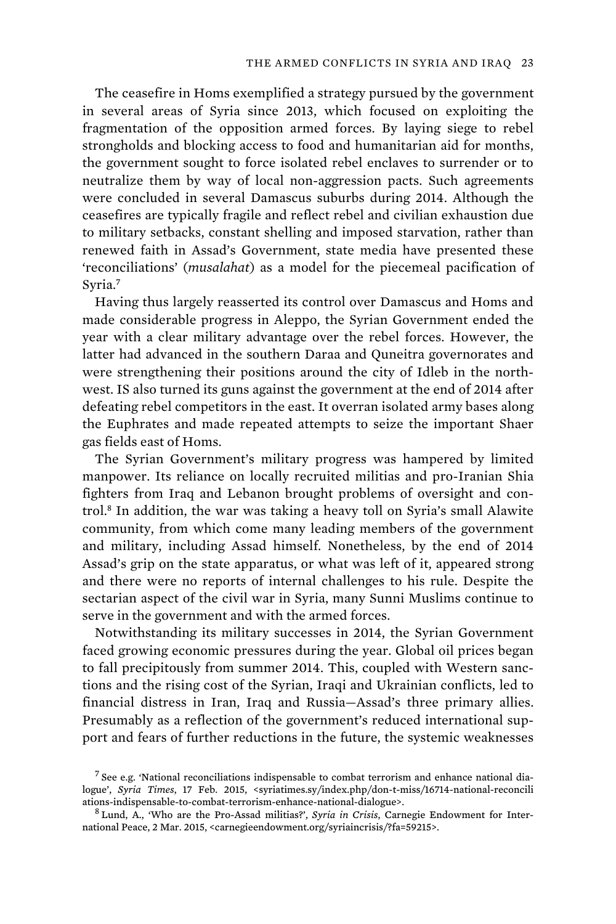The ceasefire in Homs exemplified a strategy pursued by the government in several areas of Syria since 2013, which focused on exploiting the fragmentation of the opposition armed forces. By laying siege to rebel strongholds and blocking access to food and humanitarian aid for months, the government sought to force isolated rebel enclaves to surrender or to neutralize them by way of local non-aggression pacts. Such agreements were concluded in several Damascus suburbs during 2014. Although the ceasefires are typically fragile and reflect rebel and civilian exhaustion due to military setbacks, constant shelling and imposed starvation, rather than renewed faith in Assad's Government, state media have presented these 'reconciliations' (*musalahat*) as a model for the piecemeal pacification of Syria.<sup>7</sup>

Having thus largely reasserted its control over Damascus and Homs and made considerable progress in Aleppo, the Syrian Government ended the year with a clear military advantage over the rebel forces. However, the latter had advanced in the southern Daraa and Quneitra governorates and were strengthening their positions around the city of Idleb in the northwest. IS also turned its guns against the government at the end of 2014 after defeating rebel competitors in the east. It overran isolated army bases along the Euphrates and made repeated attempts to seize the important Shaer gas fields east of Homs.

The Syrian Government's military progress was hampered by limited manpower. Its reliance on locally recruited militias and pro-Iranian Shia fighters from Iraq and Lebanon brought problems of oversight and control.<sup>8</sup> In addition, the war was taking a heavy toll on Syria's small Alawite community, from which come many leading members of the government and military, including Assad himself. Nonetheless, by the end of 2014 Assad's grip on the state apparatus, or what was left of it, appeared strong and there were no reports of internal challenges to his rule. Despite the sectarian aspect of the civil war in Syria, many Sunni Muslims continue to serve in the government and with the armed forces.

Notwithstanding its military successes in 2014, the Syrian Government faced growing economic pressures during the year. Global oil prices began to fall precipitously from summer 2014. This, coupled with Western sanctions and the rising cost of the Syrian, Iraqi and Ukrainian conflicts, led to financial distress in Iran, Iraq and Russia—Assad's three primary allies. Presumably as a reflection of the government's reduced international support and fears of further reductions in the future, the systemic weaknesses

 $<sup>7</sup>$  See e.g. 'National reconciliations indispensable to combat terrorism and enhance national dia-</sup> logue', *Syria Times*, 17 Feb. 2015, <syriatimes.sy/index.php/don-t-miss/16714-national-reconcili ations-indispensable-to-combat-terrorism-enhance-national-dialogue>. 8 Lund, A., 'Who are the Pro-Assad militias?', *Syria in Crisis*, Carnegie Endowment for Inter-

national Peace, 2 Mar. 2015, <carnegieendowment.org/syriaincrisis/?fa=59215>.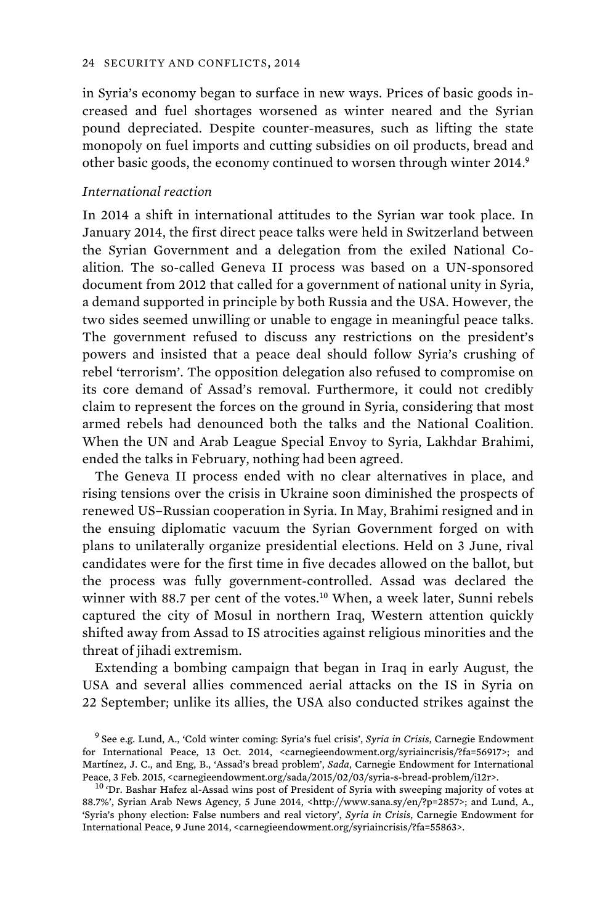in Syria's economy began to surface in new ways. Prices of basic goods increased and fuel shortages worsened as winter neared and the Syrian pound depreciated. Despite counter-measures, such as lifting the state monopoly on fuel imports and cutting subsidies on oil products, bread and other basic goods, the economy continued to worsen through winter 2014.<sup>9</sup>

## *International reaction*

In 2014 a shift in international attitudes to the Syrian war took place. In January 2014, the first direct peace talks were held in Switzerland between the Syrian Government and a delegation from the exiled National Coalition. The so-called Geneva II process was based on a UN-sponsored document from 2012 that called for a government of national unity in Syria, a demand supported in principle by both Russia and the USA. However, the two sides seemed unwilling or unable to engage in meaningful peace talks. The government refused to discuss any restrictions on the president's powers and insisted that a peace deal should follow Syria's crushing of rebel 'terrorism'. The opposition delegation also refused to compromise on its core demand of Assad's removal. Furthermore, it could not credibly claim to represent the forces on the ground in Syria, considering that most armed rebels had denounced both the talks and the National Coalition. When the UN and Arab League Special Envoy to Syria, Lakhdar Brahimi, ended the talks in February, nothing had been agreed.

The Geneva II process ended with no clear alternatives in place, and rising tensions over the crisis in Ukraine soon diminished the prospects of renewed US–Russian cooperation in Syria. In May, Brahimi resigned and in the ensuing diplomatic vacuum the Syrian Government forged on with plans to unilaterally organize presidential elections. Held on 3 June, rival candidates were for the first time in five decades allowed on the ballot, but the process was fully government-controlled. Assad was declared the winner with 88.7 per cent of the votes.<sup>10</sup> When, a week later, Sunni rebels captured the city of Mosul in northern Iraq, Western attention quickly shifted away from Assad to IS atrocities against religious minorities and the threat of jihadi extremism.

Extending a bombing campaign that began in Iraq in early August, the USA and several allies commenced aerial attacks on the IS in Syria on 22 September; unlike its allies, the USA also conducted strikes against the

<sup>9</sup>See e.g. Lund, A., 'Cold winter coming: Syria's fuel crisis', *Syria in Crisis*, Carnegie Endowment for International Peace, 13 Oct. 2014, <carnegieendowment.org/syriaincrisis/?fa=56917>; and Martínez, J. C., and Eng, B., 'Assad's bread problem', *Sada*, Carnegie Endowment for International Peace, 3 Feb. 2015, <carnegieendowment.org/sada/2015/02/03/syria-s-bread-problem/i12r>. 10 'Dr. Bashar Hafez al-Assad wins post of President of Syria with sweeping majority of votes at

<sup>88.7%&#</sup>x27;, Syrian Arab News Agency, 5 June 2014, <http://www.sana.sy/en/?p=2857>; and Lund, A., 'Syria's phony election: False numbers and real victory', *Syria in Crisis*, Carnegie Endowment for International Peace, 9 June 2014, <carnegieendowment.org/syriaincrisis/?fa=55863>.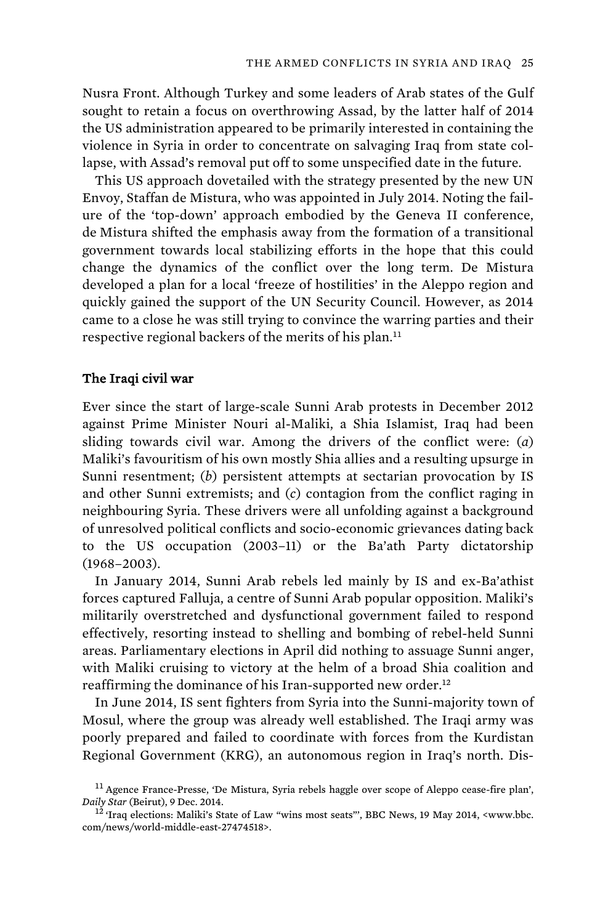Nusra Front. Although Turkey and some leaders of Arab states of the Gulf sought to retain a focus on overthrowing Assad, by the latter half of 2014 the US administration appeared to be primarily interested in containing the violence in Syria in order to concentrate on salvaging Iraq from state collapse, with Assad's removal put off to some unspecified date in the future.

This US approach dovetailed with the strategy presented by the new UN Envoy, Staffan de Mistura, who was appointed in July 2014. Noting the failure of the 'top-down' approach embodied by the Geneva II conference, de Mistura shifted the emphasis away from the formation of a transitional government towards local stabilizing efforts in the hope that this could change the dynamics of the conflict over the long term. De Mistura developed a plan for a local 'freeze of hostilities' in the Aleppo region and quickly gained the support of the UN Security Council. However, as 2014 came to a close he was still trying to convince the warring parties and their respective regional backers of the merits of his plan.<sup>11</sup>

## The Iraqi civil war

Ever since the start of large-scale Sunni Arab protests in December 2012 against Prime Minister Nouri al-Maliki, a Shia Islamist, Iraq had been sliding towards civil war. Among the drivers of the conflict were: (*a*) Maliki's favouritism of his own mostly Shia allies and a resulting upsurge in Sunni resentment; (*b*) persistent attempts at sectarian provocation by IS and other Sunni extremists; and (*c*) contagion from the conflict raging in neighbouring Syria. These drivers were all unfolding against a background of unresolved political conflicts and socio-economic grievances dating back to the US occupation (2003–11) or the Ba'ath Party dictatorship (1968–2003).

In January 2014, Sunni Arab rebels led mainly by IS and ex-Ba'athist forces captured Falluja, a centre of Sunni Arab popular opposition. Maliki's militarily overstretched and dysfunctional government failed to respond effectively, resorting instead to shelling and bombing of rebel-held Sunni areas. Parliamentary elections in April did nothing to assuage Sunni anger, with Maliki cruising to victory at the helm of a broad Shia coalition and reaffirming the dominance of his Iran-supported new order.<sup>12</sup>

In June 2014, IS sent fighters from Syria into the Sunni-majority town of Mosul, where the group was already well established. The Iraqi army was poorly prepared and failed to coordinate with forces from the Kurdistan Regional Government (KRG), an autonomous region in Iraq's north. Dis-

<sup>11</sup>Agence France-Presse, 'De Mistura, Syria rebels haggle over scope of Aleppo cease-fire plan', *Daily Star* (Beirut), 9 Dec. 2014. 12 'Iraq elections: Maliki's State of Law "wins most seats"', BBC News, 19 May 2014, <www.bbc.

com/news/world-middle-east-27474518>.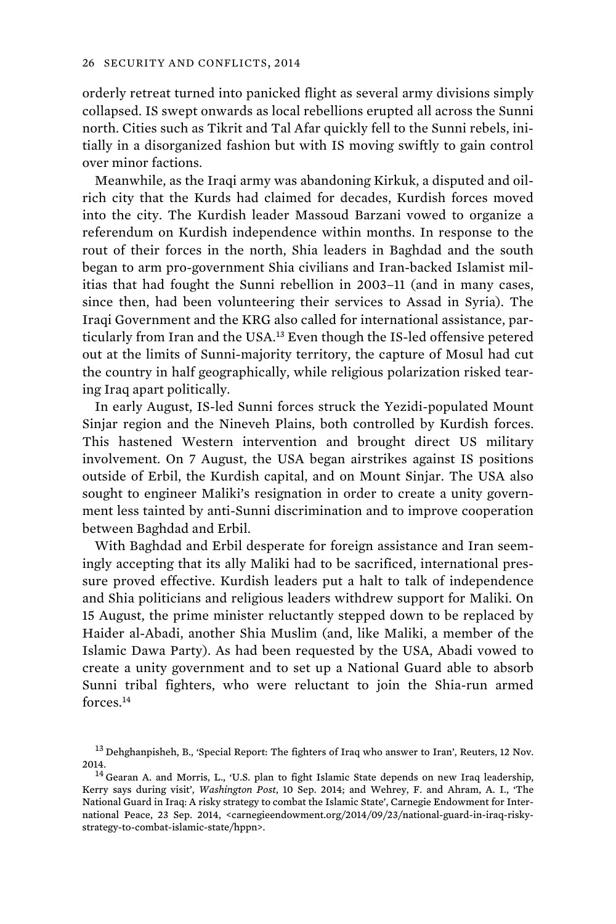orderly retreat turned into panicked flight as several army divisions simply collapsed. IS swept onwards as local rebellions erupted all across the Sunni north. Cities such as Tikrit and Tal Afar quickly fell to the Sunni rebels, initially in a disorganized fashion but with IS moving swiftly to gain control over minor factions.

Meanwhile, as the Iraqi army was abandoning Kirkuk, a disputed and oilrich city that the Kurds had claimed for decades, Kurdish forces moved into the city. The Kurdish leader Massoud Barzani vowed to organize a referendum on Kurdish independence within months. In response to the rout of their forces in the north, Shia leaders in Baghdad and the south began to arm pro-government Shia civilians and Iran-backed Islamist militias that had fought the Sunni rebellion in 2003–11 (and in many cases, since then, had been volunteering their services to Assad in Syria). The Iraqi Government and the KRG also called for international assistance, particularly from Iran and the USA.<sup>13</sup> Even though the IS-led offensive petered out at the limits of Sunni-majority territory, the capture of Mosul had cut the country in half geographically, while religious polarization risked tearing Iraq apart politically.

In early August, IS-led Sunni forces struck the Yezidi-populated Mount Sinjar region and the Nineveh Plains, both controlled by Kurdish forces. This hastened Western intervention and brought direct US military involvement. On 7 August, the USA began airstrikes against IS positions outside of Erbil, the Kurdish capital, and on Mount Sinjar. The USA also sought to engineer Maliki's resignation in order to create a unity government less tainted by anti-Sunni discrimination and to improve cooperation between Baghdad and Erbil.

With Baghdad and Erbil desperate for foreign assistance and Iran seemingly accepting that its ally Maliki had to be sacrificed, international pressure proved effective. Kurdish leaders put a halt to talk of independence and Shia politicians and religious leaders withdrew support for Maliki. On 15 August, the prime minister reluctantly stepped down to be replaced by Haider al-Abadi, another Shia Muslim (and, like Maliki, a member of the Islamic Dawa Party). As had been requested by the USA, Abadi vowed to create a unity government and to set up a National Guard able to absorb Sunni tribal fighters, who were reluctant to join the Shia-run armed forces.<sup>14</sup>

<sup>&</sup>lt;sup>13</sup> Dehghanpisheh, B., 'Special Report: The fighters of Iraq who answer to Iran', Reuters, 12 Nov. 2014.<br> $14$  Gearan A. and Morris, L., 'U.S. plan to fight Islamic State depends on new Iraq leadership,

Kerry says during visit', *Washington Post*, 10 Sep. 2014; and Wehrey, F. and Ahram, A. I., 'The National Guard in Iraq: A risky strategy to combat the Islamic State', Carnegie Endowment for International Peace, 23 Sep. 2014, <carnegieendowment.org/2014/09/23/national-guard-in-iraq-riskystrategy-to-combat-islamic-state/hppn>.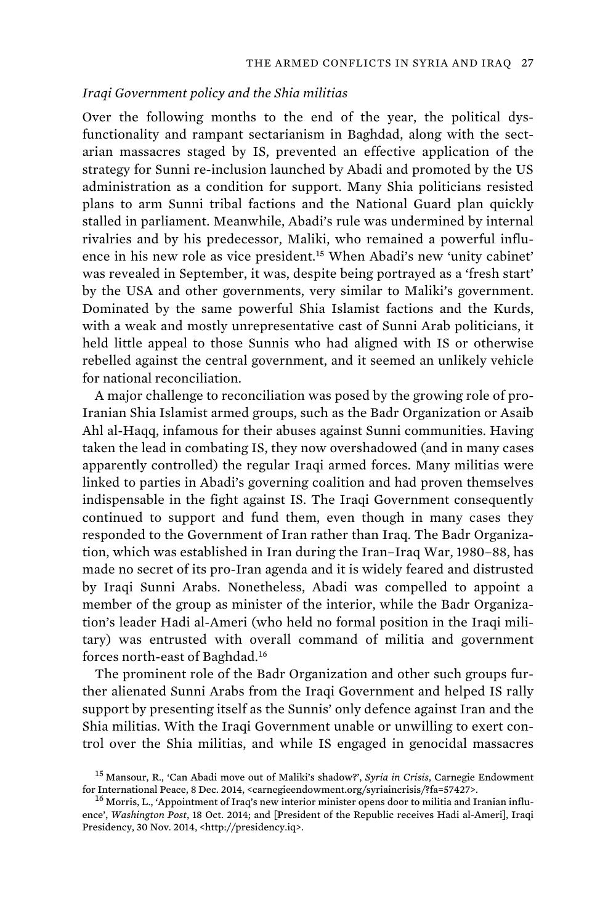## *Iraqi Government policy and the Shia militias*

Over the following months to the end of the year, the political dysfunctionality and rampant sectarianism in Baghdad, along with the sectarian massacres staged by IS, prevented an effective application of the strategy for Sunni re-inclusion launched by Abadi and promoted by the US administration as a condition for support. Many Shia politicians resisted plans to arm Sunni tribal factions and the National Guard plan quickly stalled in parliament. Meanwhile, Abadi's rule was undermined by internal rivalries and by his predecessor, Maliki, who remained a powerful influence in his new role as vice president.<sup>15</sup> When Abadi's new 'unity cabinet' was revealed in September, it was, despite being portrayed as a 'fresh start' by the USA and other governments, very similar to Maliki's government. Dominated by the same powerful Shia Islamist factions and the Kurds, with a weak and mostly unrepresentative cast of Sunni Arab politicians, it held little appeal to those Sunnis who had aligned with IS or otherwise rebelled against the central government, and it seemed an unlikely vehicle for national reconciliation.

A major challenge to reconciliation was posed by the growing role of pro-Iranian Shia Islamist armed groups, such as the Badr Organization or Asaib Ahl al-Haqq, infamous for their abuses against Sunni communities. Having taken the lead in combating IS, they now overshadowed (and in many cases apparently controlled) the regular Iraqi armed forces. Many militias were linked to parties in Abadi's governing coalition and had proven themselves indispensable in the fight against IS. The Iraqi Government consequently continued to support and fund them, even though in many cases they responded to the Government of Iran rather than Iraq. The Badr Organization, which was established in Iran during the Iran–Iraq War, 1980–88, has made no secret of its pro-Iran agenda and it is widely feared and distrusted by Iraqi Sunni Arabs. Nonetheless, Abadi was compelled to appoint a member of the group as minister of the interior, while the Badr Organization's leader Hadi al-Ameri (who held no formal position in the Iraqi military) was entrusted with overall command of militia and government forces north-east of Baghdad.<sup>16</sup>

The prominent role of the Badr Organization and other such groups further alienated Sunni Arabs from the Iraqi Government and helped IS rally support by presenting itself as the Sunnis' only defence against Iran and the Shia militias. With the Iraqi Government unable or unwilling to exert control over the Shia militias, and while IS engaged in genocidal massacres

<sup>&</sup>lt;sup>15</sup> Mansour, R., 'Can Abadi move out of Maliki's shadow?', *Syria in Crisis*, Carnegie Endowment<br>for International Peace, 8 Dec. 2014, <carnegieendowment.org/syriaincrisis/?fa=57427>.

<sup>&</sup>lt;sup>16</sup> Morris, L., 'Appointment of Iraq's new interior minister opens door to militia and Iranian influence', *Washington Post*, 18 Oct. 2014; and [President of the Republic receives Hadi al-Ameri], Iraqi Presidency, 30 Nov. 2014, <http://presidency.iq>.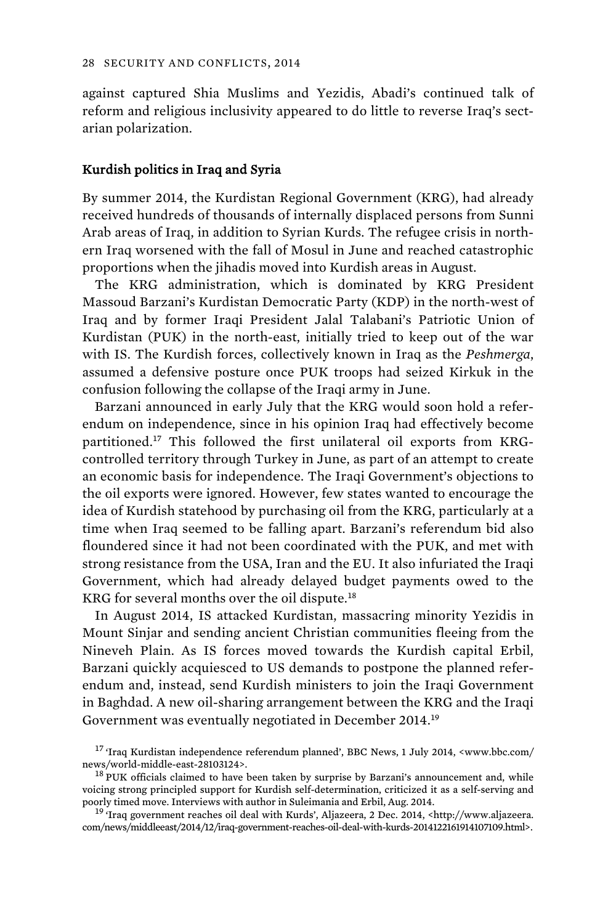against captured Shia Muslims and Yezidis, Abadi's continued talk of reform and religious inclusivity appeared to do little to reverse Iraq's sectarian polarization.

### Kurdish politics in Iraq and Syria

By summer 2014, the Kurdistan Regional Government (KRG), had already received hundreds of thousands of internally displaced persons from Sunni Arab areas of Iraq, in addition to Syrian Kurds. The refugee crisis in northern Iraq worsened with the fall of Mosul in June and reached catastrophic proportions when the jihadis moved into Kurdish areas in August.

The KRG administration, which is dominated by KRG President Massoud Barzani's Kurdistan Democratic Party (KDP) in the north-west of Iraq and by former Iraqi President Jalal Talabani's Patriotic Union of Kurdistan (PUK) in the north-east, initially tried to keep out of the war with IS. The Kurdish forces, collectively known in Iraq as the *Peshmerga*, assumed a defensive posture once PUK troops had seized Kirkuk in the confusion following the collapse of the Iraqi army in June.

Barzani announced in early July that the KRG would soon hold a referendum on independence, since in his opinion Iraq had effectively become partitioned.17 This followed the first unilateral oil exports from KRGcontrolled territory through Turkey in June, as part of an attempt to create an economic basis for independence. The Iraqi Government's objections to the oil exports were ignored. However, few states wanted to encourage the idea of Kurdish statehood by purchasing oil from the KRG, particularly at a time when Iraq seemed to be falling apart. Barzani's referendum bid also floundered since it had not been coordinated with the PUK, and met with strong resistance from the USA, Iran and the EU. It also infuriated the Iraqi Government, which had already delayed budget payments owed to the KRG for several months over the oil dispute.<sup>18</sup>

In August 2014, IS attacked Kurdistan, massacring minority Yezidis in Mount Sinjar and sending ancient Christian communities fleeing from the Nineveh Plain. As IS forces moved towards the Kurdish capital Erbil, Barzani quickly acquiesced to US demands to postpone the planned referendum and, instead, send Kurdish ministers to join the Iraqi Government in Baghdad. A new oil-sharing arrangement between the KRG and the Iraqi Government was eventually negotiated in December 2014.<sup>19</sup>

 $^{17}$  'Iraq Kurdistan independence referendum planned', BBC News, 1 July 2014, <www.bbc.com/news/world-middle-east-28103124>.

 $18$  PUK officials claimed to have been taken by surprise by Barzani's announcement and, while voicing strong principled support for Kurdish self-determination, criticized it as a self-serving and poorly timed move. Interviews with author in Suleimania and Erbil, Aug. 2014.<br><sup>19</sup> 'Iraq government reaches oil deal with Kurds', Aljazeera, 2 Dec. 2014, <http://www.aljazeera.

com/news/middleeast/2014/12/iraq-government-reaches-oil-deal-with-kurds-2014122161914107109.html>.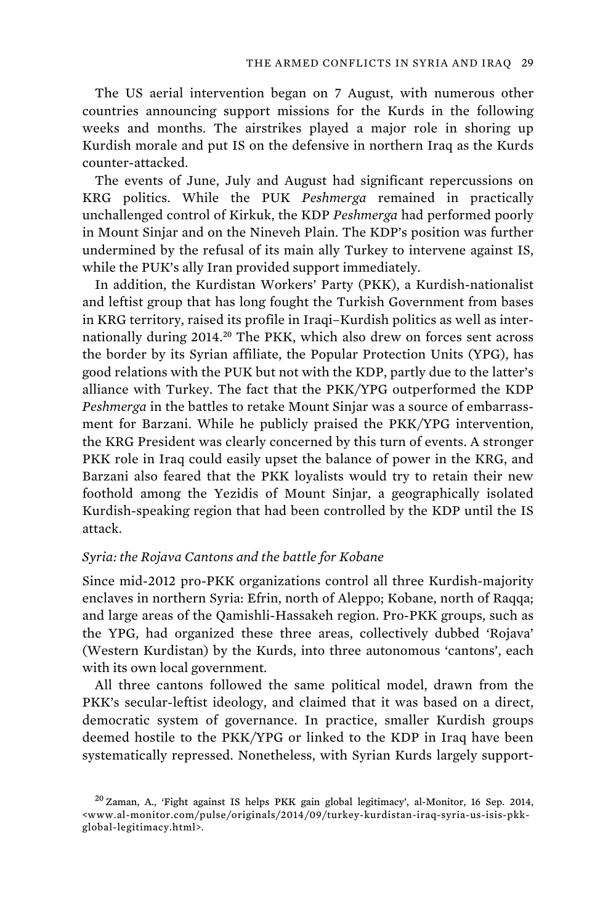The US aerial intervention began on 7 August, with numerous other countries announcing support missions for the Kurds in the following weeks and months. The airstrikes played a major role in shoring up Kurdish morale and put IS on the defensive in northern Iraq as the Kurds counter-attacked.

The events of June, July and August had significant repercussions on KRG politics. While the PUK *Peshmerga* remained in practically unchallenged control of Kirkuk, the KDP *Peshmerga* had performed poorly in Mount Sinjar and on the Nineveh Plain. The KDP's position was further undermined by the refusal of its main ally Turkey to intervene against IS, while the PUK's ally Iran provided support immediately.

In addition, the Kurdistan Workers' Party (PKK), a Kurdish-nationalist and leftist group that has long fought the Turkish Government from bases in KRG territory, raised its profile in Iraqi–Kurdish politics as well as internationally during 2014.<sup>20</sup> The PKK, which also drew on forces sent across the border by its Syrian affiliate, the Popular Protection Units (YPG), has good relations with the PUK but not with the KDP, partly due to the latter's alliance with Turkey. The fact that the PKK/YPG outperformed the KDP *Peshmerga* in the battles to retake Mount Sinjar was a source of embarrassment for Barzani. While he publicly praised the PKK/YPG intervention, the KRG President was clearly concerned by this turn of events. A stronger PKK role in Iraq could easily upset the balance of power in the KRG, and Barzani also feared that the PKK loyalists would try to retain their new foothold among the Yezidis of Mount Sinjar, a geographically isolated Kurdish-speaking region that had been controlled by the KDP until the IS attack.

## *Syria: the Rojava Cantons and the battle for Kobane*

Since mid-2012 pro-PKK organizations control all three Kurdish-majority enclaves in northern Syria: Efrin, north of Aleppo; Kobane, north of Raqqa; and large areas of the Qamishli-Hassakeh region. Pro-PKK groups, such as the YPG, had organized these three areas, collectively dubbed 'Rojava' (Western Kurdistan) by the Kurds, into three autonomous 'cantons', each with its own local government.

All three cantons followed the same political model, drawn from the PKK's secular-leftist ideology, and claimed that it was based on a direct, democratic system of governance. In practice, smaller Kurdish groups deemed hostile to the PKK/YPG or linked to the KDP in Iraq have been systematically repressed. Nonetheless, with Syrian Kurds largely support-

<sup>20</sup>Zaman, A., 'Fight against IS helps PKK gain global legitimacy', al-Monitor, 16 Sep. 2014, <www.al-monitor.com/pulse/originals/2014/09/turkey-kurdistan-iraq-syria-us-isis-pkkglobal-legitimacy.html>.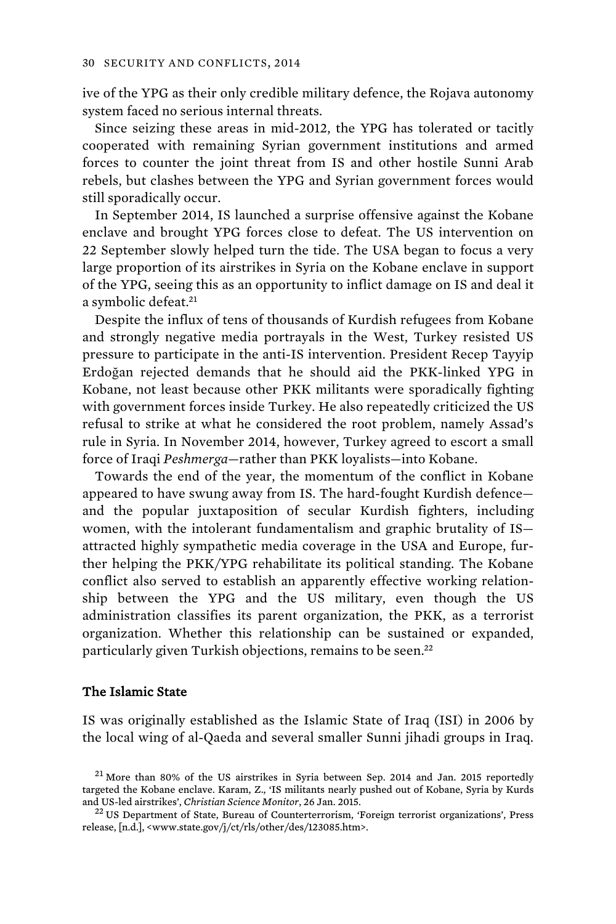ive of the YPG as their only credible military defence, the Rojava autonomy system faced no serious internal threats.

Since seizing these areas in mid-2012, the YPG has tolerated or tacitly cooperated with remaining Syrian government institutions and armed forces to counter the joint threat from IS and other hostile Sunni Arab rebels, but clashes between the YPG and Syrian government forces would still sporadically occur.

In September 2014, IS launched a surprise offensive against the Kobane enclave and brought YPG forces close to defeat. The US intervention on 22 September slowly helped turn the tide. The USA began to focus a very large proportion of its airstrikes in Syria on the Kobane enclave in support of the YPG, seeing this as an opportunity to inflict damage on IS and deal it a symbolic defeat.<sup>21</sup>

Despite the influx of tens of thousands of Kurdish refugees from Kobane and strongly negative media portrayals in the West, Turkey resisted US pressure to participate in the anti-IS intervention. President Recep Tayyip Erdoğan rejected demands that he should aid the PKK-linked YPG in Kobane, not least because other PKK militants were sporadically fighting with government forces inside Turkey. He also repeatedly criticized the US refusal to strike at what he considered the root problem, namely Assad's rule in Syria. In November 2014, however, Turkey agreed to escort a small force of Iraqi *Peshmerga*—rather than PKK loyalists—into Kobane.

Towards the end of the year, the momentum of the conflict in Kobane appeared to have swung away from IS. The hard-fought Kurdish defence and the popular juxtaposition of secular Kurdish fighters, including women, with the intolerant fundamentalism and graphic brutality of IS attracted highly sympathetic media coverage in the USA and Europe, further helping the PKK/YPG rehabilitate its political standing. The Kobane conflict also served to establish an apparently effective working relationship between the YPG and the US military, even though the US administration classifies its parent organization, the PKK, as a terrorist organization. Whether this relationship can be sustained or expanded, particularly given Turkish objections, remains to be seen.<sup>22</sup>

## The Islamic State

IS was originally established as the Islamic State of Iraq (ISI) in 2006 by the local wing of al-Qaeda and several smaller Sunni jihadi groups in Iraq.

 $21$  More than 80% of the US airstrikes in Syria between Sep. 2014 and Jan. 2015 reportedly targeted the Kobane enclave. Karam, Z., 'IS militants nearly pushed out of Kobane, Syria by Kurds and US-led airstrikes', *Christian Science Monitor*, 26 Jan. 2015. 22 US Department of State, Bureau of Counterterrorism, 'Foreign terrorist organizations', Press

release, [n.d.], <www.state.gov/j/ct/rls/other/des/123085.htm>.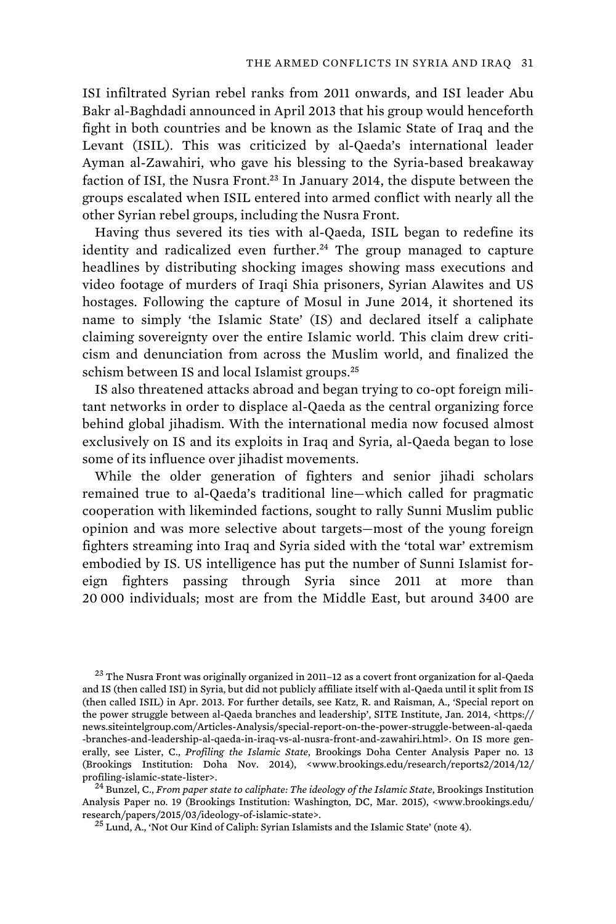ISI infiltrated Syrian rebel ranks from 2011 onwards, and ISI leader Abu Bakr al-Baghdadi announced in April 2013 that his group would henceforth fight in both countries and be known as the Islamic State of Iraq and the Levant (ISIL). This was criticized by al-Qaeda's international leader Ayman al-Zawahiri, who gave his blessing to the Syria-based breakaway faction of ISI, the Nusra Front.<sup>23</sup> In January 2014, the dispute between the groups escalated when ISIL entered into armed conflict with nearly all the other Syrian rebel groups, including the Nusra Front.

Having thus severed its ties with al-Qaeda, ISIL began to redefine its identity and radicalized even further.<sup>24</sup> The group managed to capture headlines by distributing shocking images showing mass executions and video footage of murders of Iraqi Shia prisoners, Syrian Alawites and US hostages. Following the capture of Mosul in June 2014, it shortened its name to simply 'the Islamic State' (IS) and declared itself a caliphate claiming sovereignty over the entire Islamic world. This claim drew criticism and denunciation from across the Muslim world, and finalized the schism between IS and local Islamist groups.<sup>25</sup>

IS also threatened attacks abroad and began trying to co-opt foreign militant networks in order to displace al-Qaeda as the central organizing force behind global jihadism. With the international media now focused almost exclusively on IS and its exploits in Iraq and Syria, al-Qaeda began to lose some of its influence over jihadist movements.

While the older generation of fighters and senior jihadi scholars remained true to al-Qaeda's traditional line—which called for pragmatic cooperation with likeminded factions, sought to rally Sunni Muslim public opinion and was more selective about targets—most of the young foreign fighters streaming into Iraq and Syria sided with the 'total war' extremism embodied by IS. US intelligence has put the number of Sunni Islamist foreign fighters passing through Syria since 2011 at more than 20 000 individuals; most are from the Middle East, but around 3400 are

 $^{23}$  The Nusra Front was originally organized in 2011–12 as a covert front organization for al-Qaeda and IS (then called ISI) in Syria, but did not publicly affiliate itself with al-Qaeda until it split from IS (then called ISIL) in Apr. 2013. For further details, see Katz, R. and Raisman, A., 'Special report on the power struggle between al-Qaeda branches and leadership', SITE Institute, Jan. 2014, <https:// news.siteintelgroup.com/Articles-Analysis/special-report-on-the-power-struggle-between-al-qaeda -branches-and-leadership-al-qaeda-in-iraq-vs-al-nusra-front-and-zawahiri.html>. On IS more generally, see Lister, C., *Profiling the Islamic State*, Brookings Doha Center Analysis Paper no. 13 (Brookings Institution: Doha Nov. 2014), <www.brookings.edu/research/reports2/2014/12/ profiling-islamic-state-lister>. 24 Bunzel, C., *From paper state to caliphate: The ideology of the Islamic State*, Brookings Institution

Analysis Paper no. 19 (Brookings Institution: Washington, DC, Mar. 2015), <www.brookings.edu/ research/papers/2015/03/ideology-of-islamic-state>. 25 Lund, A., 'Not Our Kind of Caliph: Syrian Islamists and the Islamic State' (note 4).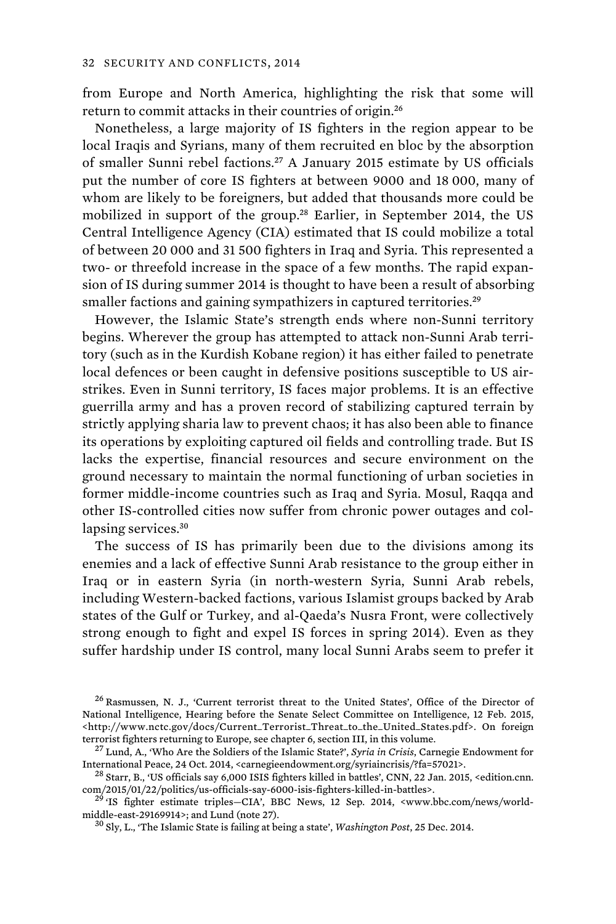from Europe and North America, highlighting the risk that some will return to commit attacks in their countries of origin.<sup>26</sup>

Nonetheless, a large majority of IS fighters in the region appear to be local Iraqis and Syrians, many of them recruited en bloc by the absorption of smaller Sunni rebel factions.<sup>27</sup> A January 2015 estimate by US officials put the number of core IS fighters at between 9000 and 18 000, many of whom are likely to be foreigners, but added that thousands more could be mobilized in support of the group.<sup>28</sup> Earlier, in September 2014, the US Central Intelligence Agency (CIA) estimated that IS could mobilize a total of between 20 000 and 31 500 fighters in Iraq and Syria. This represented a two- or threefold increase in the space of a few months. The rapid expansion of IS during summer 2014 is thought to have been a result of absorbing smaller factions and gaining sympathizers in captured territories.<sup>29</sup>

However, the Islamic State's strength ends where non-Sunni territory begins. Wherever the group has attempted to attack non-Sunni Arab territory (such as in the Kurdish Kobane region) it has either failed to penetrate local defences or been caught in defensive positions susceptible to US airstrikes. Even in Sunni territory, IS faces major problems. It is an effective guerrilla army and has a proven record of stabilizing captured terrain by strictly applying sharia law to prevent chaos; it has also been able to finance its operations by exploiting captured oil fields and controlling trade. But IS lacks the expertise, financial resources and secure environment on the ground necessary to maintain the normal functioning of urban societies in former middle-income countries such as Iraq and Syria. Mosul, Raqqa and other IS-controlled cities now suffer from chronic power outages and collapsing services.<sup>30</sup>

The success of IS has primarily been due to the divisions among its enemies and a lack of effective Sunni Arab resistance to the group either in Iraq or in eastern Syria (in north-western Syria, Sunni Arab rebels, including Western-backed factions, various Islamist groups backed by Arab states of the Gulf or Turkey, and al-Qaeda's Nusra Front, were collectively strong enough to fight and expel IS forces in spring 2014). Even as they suffer hardship under IS control, many local Sunni Arabs seem to prefer it

<sup>&</sup>lt;sup>26</sup> Rasmussen, N. J., 'Current terrorist threat to the United States', Office of the Director of National Intelligence, Hearing before the Senate Select Committee on Intelligence, 12 Feb. 2015, <http://www.nctc.gov/docs/Current\_Terrorist\_Threat\_to\_the\_United\_States.pdf>. On foreign terrorist fighters returning to Europe, see chapter 6, section III, in this volume.

<sup>&</sup>lt;sup>27</sup> Lund, A., 'Who Are the Soldiers of the Islamic State?', *Syria in Crisis*, Carnegie Endowment for International Peace, 24 Oct. 2014, <carnegieendowment.org/syriaincrisis/?fa=57021>.

<sup>&</sup>lt;sup>28</sup> Starr, B., 'US officials say 6,000 ISIS fighters killed in battles', CNN, 22 Jan. 2015, <edition.cnn. com/2015/01/22/politics/us-officials-say-6000-isis-fighters-killed-in-battles>.

<sup>&</sup>lt;sup>29</sup> 'IS fighter estimate triples–CIA', BBC News, 12 Sep. 2014, <www.bbc.com/news/world-middle-east-29169914>; and Lund (note 27).

<sup>&</sup>lt;sup>30</sup> Sly, L., 'The Islamic State is failing at being a state', *Washington Post*, 25 Dec. 2014.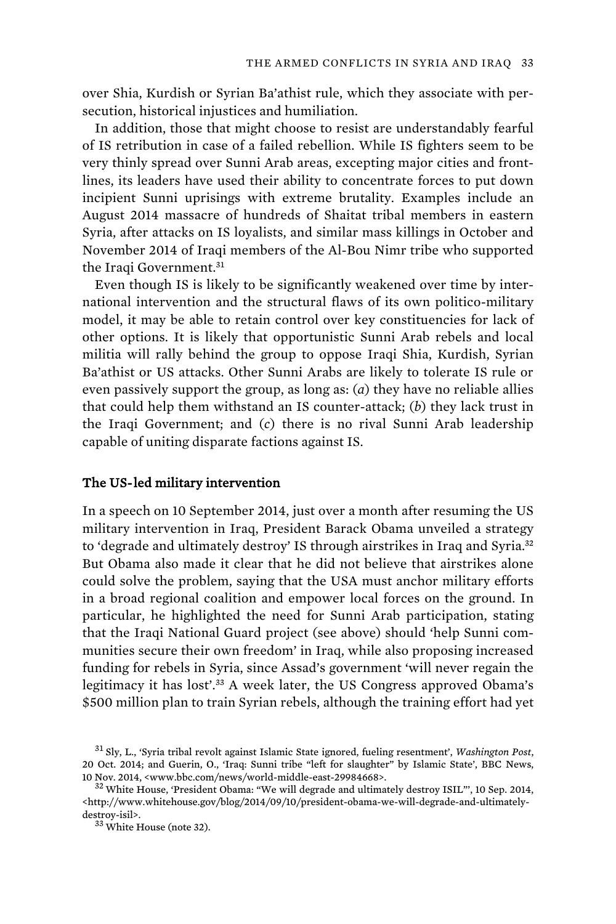over Shia, Kurdish or Syrian Ba'athist rule, which they associate with persecution, historical injustices and humiliation.

In addition, those that might choose to resist are understandably fearful of IS retribution in case of a failed rebellion. While IS fighters seem to be very thinly spread over Sunni Arab areas, excepting major cities and frontlines, its leaders have used their ability to concentrate forces to put down incipient Sunni uprisings with extreme brutality. Examples include an August 2014 massacre of hundreds of Shaitat tribal members in eastern Syria, after attacks on IS loyalists, and similar mass killings in October and November 2014 of Iraqi members of the Al-Bou Nimr tribe who supported the Iraqi Government.<sup>31</sup>

Even though IS is likely to be significantly weakened over time by international intervention and the structural flaws of its own politico-military model, it may be able to retain control over key constituencies for lack of other options. It is likely that opportunistic Sunni Arab rebels and local militia will rally behind the group to oppose Iraqi Shia, Kurdish, Syrian Ba'athist or US attacks. Other Sunni Arabs are likely to tolerate IS rule or even passively support the group, as long as: (*a*) they have no reliable allies that could help them withstand an IS counter-attack; (*b*) they lack trust in the Iraqi Government; and (*c*) there is no rival Sunni Arab leadership capable of uniting disparate factions against IS.

## The US-led military intervention

In a speech on 10 September 2014, just over a month after resuming the US military intervention in Iraq, President Barack Obama unveiled a strategy to 'degrade and ultimately destroy' IS through airstrikes in Iraq and Syria.<sup>32</sup> But Obama also made it clear that he did not believe that airstrikes alone could solve the problem, saying that the USA must anchor military efforts in a broad regional coalition and empower local forces on the ground. In particular, he highlighted the need for Sunni Arab participation, stating that the Iraqi National Guard project (see above) should 'help Sunni communities secure their own freedom' in Iraq, while also proposing increased funding for rebels in Syria, since Assad's government 'will never regain the legitimacy it has lost'.<sup>33</sup> A week later, the US Congress approved Obama's \$500 million plan to train Syrian rebels, although the training effort had yet

<sup>31</sup>Sly, L., 'Syria tribal revolt against Islamic State ignored, fueling resentment', *Washington Post*, 20 Oct. 2014; and Guerin, O., 'Iraq: Sunni tribe "left for slaughter" by Islamic State', BBC News, 10 Nov. 2014, <www.bbc.com/news/world-middle-east-29984668>.  $32$  White House, 'President Obama: "We will degrade and ultimately destroy ISIL"', 10 Sep. 2014,

<sup>&</sup>lt;http://www.whitehouse.gov/blog/2014/09/10/president-obama-we-will-degrade-and-ultimatelydestroy-isil>.<br> $33$  White House (note 32).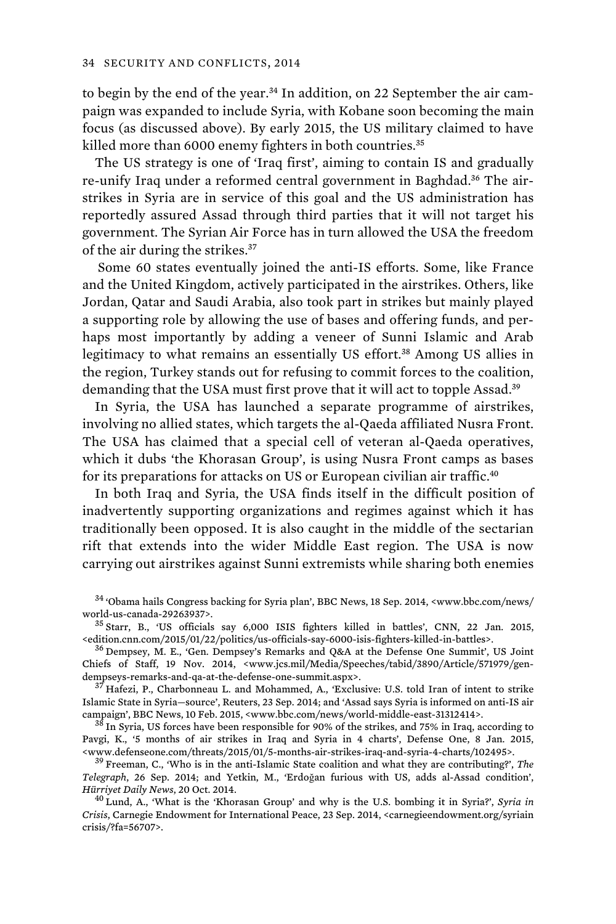to begin by the end of the year.34 In addition, on 22 September the air campaign was expanded to include Syria, with Kobane soon becoming the main focus (as discussed above). By early 2015, the US military claimed to have killed more than 6000 enemy fighters in both countries.<sup>35</sup>

The US strategy is one of 'Iraq first', aiming to contain IS and gradually re-unify Iraq under a reformed central government in Baghdad.<sup>36</sup> The airstrikes in Syria are in service of this goal and the US administration has reportedly assured Assad through third parties that it will not target his government. The Syrian Air Force has in turn allowed the USA the freedom of the air during the strikes.<sup>37</sup>

 Some 60 states eventually joined the anti-IS efforts. Some, like France and the United Kingdom, actively participated in the airstrikes. Others, like Jordan, Qatar and Saudi Arabia, also took part in strikes but mainly played a supporting role by allowing the use of bases and offering funds, and perhaps most importantly by adding a veneer of Sunni Islamic and Arab legitimacy to what remains an essentially US effort.<sup>38</sup> Among US allies in the region, Turkey stands out for refusing to commit forces to the coalition, demanding that the USA must first prove that it will act to topple Assad.<sup>39</sup>

In Syria, the USA has launched a separate programme of airstrikes, involving no allied states, which targets the al-Qaeda affiliated Nusra Front. The USA has claimed that a special cell of veteran al-Qaeda operatives, which it dubs 'the Khorasan Group', is using Nusra Front camps as bases for its preparations for attacks on US or European civilian air traffic.<sup>40</sup>

In both Iraq and Syria, the USA finds itself in the difficult position of inadvertently supporting organizations and regimes against which it has traditionally been opposed. It is also caught in the middle of the sectarian rift that extends into the wider Middle East region. The USA is now carrying out airstrikes against Sunni extremists while sharing both enemies

 $^{34}$  'Obama hails Congress backing for Syria plan', BBC News, 18 Sep. 2014, <www.bbc.com/news/ world-us-canada-29263937>.

 $^{35}$  Starr, B., 'US officials say 6,000 ISIS fighters killed in battles', CNN, 22 Jan. 2015, <br>
<edition.cnn.com/2015/01/22/politics/us-officials-say-6000-isis-fighters-killed-in-battles>.

<sup>36</sup> Dempsey, M. E., 'Gen. Dempsey's Remarks and Q&A at the Defense One Summit', US Joint Chiefs of Staff, 19 Nov. 2014, <www.jcs.mil/Media/Speeches/tabid/3890/Article/571979/gendempseys-remarks-and-qa-at-the-defense-one-summit.aspx>.<br><sup>37</sup> Hafezi, P., Charbonneau L. and Mohammed, A., 'Exclusive: U.S. told Iran of intent to strike

Islamic State in Syria—source', Reuters, 23 Sep. 2014; and 'Assad says Syria is informed on anti-IS air

 $38$  In Syria, US forces have been responsible for 90% of the strikes, and 75% in Iraq, according to Pavgi, K., '5 months of air strikes in Iraq and Syria in 4 charts', Defense One, 8 Jan. 2015, <www.defenseone.com/threats/2015/01/5-months-air-strikes-iraq-and-syria-4-charts/102495>. 39 Freeman, C., 'Who is in the anti-Islamic State coalition and what they are contributing?', *The* 

*Telegraph*, 26 Sep. 2014; and Yetkin, M., 'Erdoğan furious with US, adds al-Assad condition', *Hürriyet Daily News*, 20 Oct. 2014.<br><sup>40</sup> Lund, A., 'What is the 'Khorasan Group' and why is the U.S. bombing it in Syria?', *Syria in* 

*Crisis*, Carnegie Endowment for International Peace, 23 Sep. 2014, <carnegieendowment.org/syriain crisis/?fa=56707>.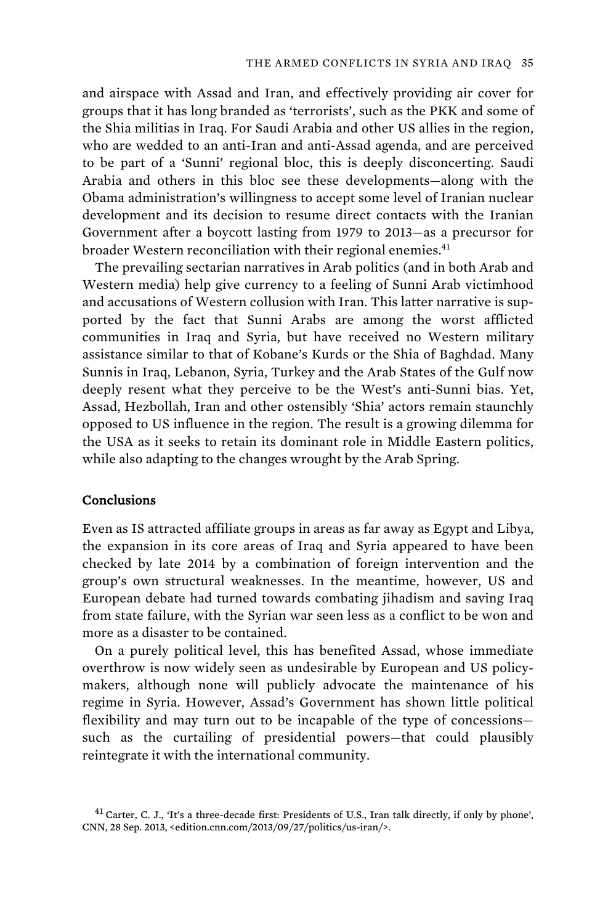and airspace with Assad and Iran, and effectively providing air cover for groups that it has long branded as 'terrorists', such as the PKK and some of the Shia militias in Iraq. For Saudi Arabia and other US allies in the region, who are wedded to an anti-Iran and anti-Assad agenda, and are perceived to be part of a 'Sunni' regional bloc, this is deeply disconcerting. Saudi Arabia and others in this bloc see these developments—along with the Obama administration's willingness to accept some level of Iranian nuclear development and its decision to resume direct contacts with the Iranian Government after a boycott lasting from 1979 to 2013—as a precursor for broader Western reconciliation with their regional enemies.<sup>41</sup>

The prevailing sectarian narratives in Arab politics (and in both Arab and Western media) help give currency to a feeling of Sunni Arab victimhood and accusations of Western collusion with Iran. This latter narrative is supported by the fact that Sunni Arabs are among the worst afflicted communities in Iraq and Syria, but have received no Western military assistance similar to that of Kobane's Kurds or the Shia of Baghdad. Many Sunnis in Iraq, Lebanon, Syria, Turkey and the Arab States of the Gulf now deeply resent what they perceive to be the West's anti-Sunni bias. Yet, Assad, Hezbollah, Iran and other ostensibly 'Shia' actors remain staunchly opposed to US influence in the region. The result is a growing dilemma for the USA as it seeks to retain its dominant role in Middle Eastern politics, while also adapting to the changes wrought by the Arab Spring.

## Conclusions

Even as IS attracted affiliate groups in areas as far away as Egypt and Libya, the expansion in its core areas of Iraq and Syria appeared to have been checked by late 2014 by a combination of foreign intervention and the group's own structural weaknesses. In the meantime, however, US and European debate had turned towards combating jihadism and saving Iraq from state failure, with the Syrian war seen less as a conflict to be won and more as a disaster to be contained.

On a purely political level, this has benefited Assad, whose immediate overthrow is now widely seen as undesirable by European and US policymakers, although none will publicly advocate the maintenance of his regime in Syria. However, Assad's Government has shown little political flexibility and may turn out to be incapable of the type of concessions such as the curtailing of presidential powers—that could plausibly reintegrate it with the international community.

 $41$  Carter, C. J., 'It's a three-decade first: Presidents of U.S., Iran talk directly, if only by phone', CNN, 28 Sep. 2013, <edition.cnn.com/2013/09/27/politics/us-iran/>.